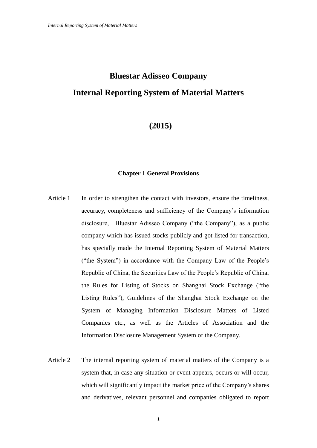# **Bluestar Adisseo Company Internal Reporting System of Material Matters**

# **(2015)**

# **Chapter 1 General Provisions**

- Article 1 In order to strengthen the contact with investors, ensure the timeliness, accuracy, completeness and sufficiency of the Company's information disclosure, Bluestar Adisseo Company ("the Company"), as a public company which has issued stocks publicly and got listed for transaction, has specially made the Internal Reporting System of Material Matters ("the System") in accordance with the Company Law of the People's Republic of China, the Securities Law of the People's Republic of China, the Rules for Listing of Stocks on Shanghai Stock Exchange ("the Listing Rules"), Guidelines of the Shanghai Stock Exchange on the System of Managing Information Disclosure Matters of Listed Companies etc., as well as the Articles of Association and the Information Disclosure Management System of the Company.
- Article 2 The internal reporting system of material matters of the Company is a system that, in case any situation or event appears, occurs or will occur, which will significantly impact the market price of the Company's shares and derivatives, relevant personnel and companies obligated to report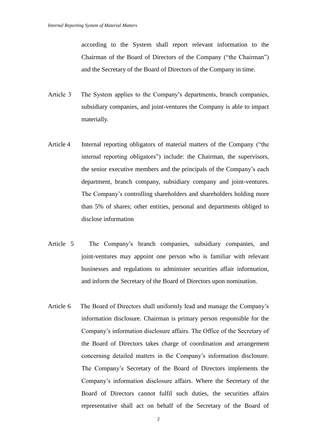according to the System shall report relevant information to the Chairman of the Board of Directors of the Company ("the Chairman") and the Secretary of the Board of Directors of the Company in time.

- Article 3 The System applies to the Company's departments, branch companies, subsidiary companies, and joint-ventures the Company is able to impact materially.
- Article 4 Internal reporting obligators of material matters of the Company ("the internal reporting obligators") include: the Chairman, the supervisors, the senior executive members and the principals of the Company's each department, branch company, subsidiary company and joint-ventures. The Company's controlling shareholders and shareholders holding more than 5% of shares; other entities, personal and departments obliged to disclose information
- Article 5 The Company's branch companies, subsidiary companies, and joint-ventures may appoint one person who is familiar with relevant businesses and regulations to administer securities affair information, and inform the Secretary of the Board of Directors upon nomination.
- Article 6 The Board of Directors shall uniformly lead and manage the Company's information disclosure. Chairman is primary person responsible for the Company's information disclosure affairs. The Office of the Secretary of the Board of Directors takes charge of coordination and arrangement concerning detailed matters in the Company's information disclosure. The Company's Secretary of the Board of Directors implements the Company's information disclosure affairs. Where the Secretary of the Board of Directors cannot fulfil such duties, the securities affairs representative shall act on behalf of the Secretary of the Board of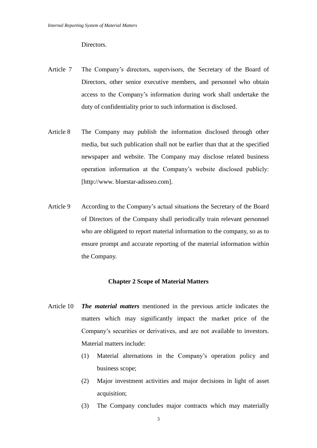Directors.

- Article 7 The Company's directors, supervisors, the Secretary of the Board of Directors, other senior executive members, and personnel who obtain access to the Company's information during work shall undertake the duty of confidentiality prior to such information is disclosed.
- Article 8 The Company may publish the information disclosed through other media, but such publication shall not be earlier than that at the specified newspaper and website. The Company may disclose related business operation information at the Company's website disclosed publicly: [http://www. bluestar-adisseo.com].
- Article 9 According to the Company's actual situations the Secretary of the Board of Directors of the Company shall periodically train relevant personnel who are obligated to report material information to the company, so as to ensure prompt and accurate reporting of the material information within the Company.

#### **Chapter 2 Scope of Material Matters**

- Article 10 *The material matters* mentioned in the previous article indicates the matters which may significantly impact the market price of the Company's securities or derivatives, and are not available to investors. Material matters include:
	- (1) Material alternations in the Company's operation policy and business scope;
	- (2) Major investment activities and major decisions in light of asset acquisition;
	- (3) The Company concludes major contracts which may materially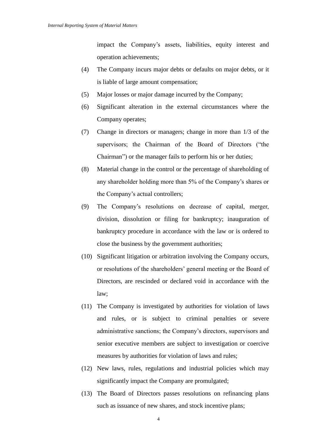impact the Company's assets, liabilities, equity interest and operation achievements;

- (4) The Company incurs major debts or defaults on major debts, or it is liable of large amount compensation;
- (5) Major losses or major damage incurred by the Company;
- (6) Significant alteration in the external circumstances where the Company operates;
- (7) Change in directors or managers; change in more than 1/3 of the supervisors; the Chairman of the Board of Directors ("the Chairman") or the manager fails to perform his or her duties;
- (8) Material change in the control or the percentage of shareholding of any shareholder holding more than 5% of the Company's shares or the Company's actual controllers;
- (9) The Company's resolutions on decrease of capital, merger, division, dissolution or filing for bankruptcy; inauguration of bankruptcy procedure in accordance with the law or is ordered to close the business by the government authorities;
- (10) Significant litigation or arbitration involving the Company occurs, or resolutions of the shareholders' general meeting or the Board of Directors, are rescinded or declared void in accordance with the law;
- (11) The Company is investigated by authorities for violation of laws and rules, or is subject to criminal penalties or severe administrative sanctions; the Company's directors, supervisors and senior executive members are subject to investigation or coercive measures by authorities for violation of laws and rules;
- (12) New laws, rules, regulations and industrial policies which may significantly impact the Company are promulgated;
- (13) The Board of Directors passes resolutions on refinancing plans such as issuance of new shares, and stock incentive plans;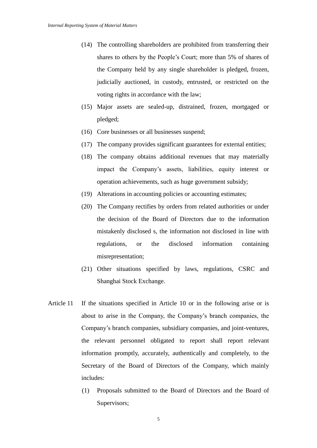- (14) The controlling shareholders are prohibited from transferring their shares to others by the People's Court; more than 5% of shares of the Company held by any single shareholder is pledged, frozen, judicially auctioned, in custody, entrusted, or restricted on the voting rights in accordance with the law;
- (15) Major assets are sealed-up, distrained, frozen, mortgaged or pledged;
- (16) Core businesses or all businesses suspend;
- (17) The company provides significant guarantees for external entities;
- (18) The company obtains additional revenues that may materially impact the Company's assets, liabilities, equity interest or operation achievements, such as huge government subsidy;
- (19) Alterations in accounting policies or accounting estimates;
- (20) The Company rectifies by orders from related authorities or under the decision of the Board of Directors due to the information mistakenly disclosed s, the information not disclosed in line with regulations, or the disclosed information containing misrepresentation;
- (21) Other situations specified by laws, regulations, CSRC and Shanghai Stock Exchange.
- Article 11 If the situations specified in Article 10 or in the following arise or is about to arise in the Company, the Company's branch companies, the Company's branch companies, subsidiary companies, and joint-ventures, the relevant personnel obligated to report shall report relevant information promptly, accurately, authentically and completely, to the Secretary of the Board of Directors of the Company, which mainly includes:
	- (1) Proposals submitted to the Board of Directors and the Board of Supervisors;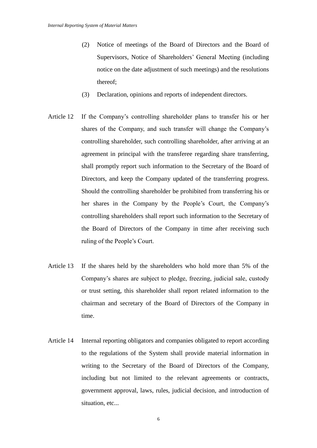- (2) Notice of meetings of the Board of Directors and the Board of Supervisors, Notice of Shareholders' General Meeting (including notice on the date adjustment of such meetings) and the resolutions thereof;
- (3) Declaration, opinions and reports of independent directors.
- Article 12 If the Company's controlling shareholder plans to transfer his or her shares of the Company, and such transfer will change the Company's controlling shareholder, such controlling shareholder, after arriving at an agreement in principal with the transferee regarding share transferring, shall promptly report such information to the Secretary of the Board of Directors, and keep the Company updated of the transferring progress. Should the controlling shareholder be prohibited from transferring his or her shares in the Company by the People's Court, the Company's controlling shareholders shall report such information to the Secretary of the Board of Directors of the Company in time after receiving such ruling of the People's Court.
- Article 13 If the shares held by the shareholders who hold more than 5% of the Company's shares are subject to pledge, freezing, judicial sale, custody or trust setting, this shareholder shall report related information to the chairman and secretary of the Board of Directors of the Company in time.
- Article 14 Internal reporting obligators and companies obligated to report according to the regulations of the System shall provide material information in writing to the Secretary of the Board of Directors of the Company, including but not limited to the relevant agreements or contracts, government approval, laws, rules, judicial decision, and introduction of situation, etc...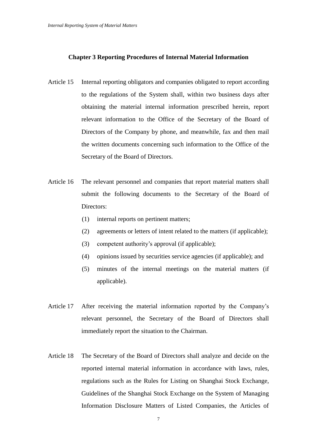### **Chapter 3 Reporting Procedures of Internal Material Information**

- Article 15 Internal reporting obligators and companies obligated to report according to the regulations of the System shall, within two business days after obtaining the material internal information prescribed herein, report relevant information to the Office of the Secretary of the Board of Directors of the Company by phone, and meanwhile, fax and then mail the written documents concerning such information to the Office of the Secretary of the Board of Directors.
- Article 16 The relevant personnel and companies that report material matters shall submit the following documents to the Secretary of the Board of Directors:
	- (1) internal reports on pertinent matters;
	- (2) agreements or letters of intent related to the matters (if applicable);
	- (3) competent authority's approval (if applicable);
	- (4) opinions issued by securities service agencies (if applicable); and
	- (5) minutes of the internal meetings on the material matters (if applicable).
- Article 17 After receiving the material information reported by the Company's relevant personnel, the Secretary of the Board of Directors shall immediately report the situation to the Chairman.
- Article 18 The Secretary of the Board of Directors shall analyze and decide on the reported internal material information in accordance with laws, rules, regulations such as the Rules for Listing on Shanghai Stock Exchange, Guidelines of the Shanghai Stock Exchange on the System of Managing Information Disclosure Matters of Listed Companies, the Articles of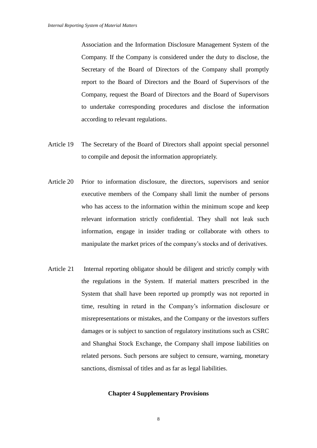Association and the Information Disclosure Management System of the Company. If the Company is considered under the duty to disclose, the Secretary of the Board of Directors of the Company shall promptly report to the Board of Directors and the Board of Supervisors of the Company, request the Board of Directors and the Board of Supervisors to undertake corresponding procedures and disclose the information according to relevant regulations.

- Article 19 The Secretary of the Board of Directors shall appoint special personnel to compile and deposit the information appropriately.
- Article 20 Prior to information disclosure, the directors, supervisors and senior executive members of the Company shall limit the number of persons who has access to the information within the minimum scope and keep relevant information strictly confidential. They shall not leak such information, engage in insider trading or collaborate with others to manipulate the market prices of the company's stocks and of derivatives.
- Article 21 Internal reporting obligator should be diligent and strictly comply with the regulations in the System. If material matters prescribed in the System that shall have been reported up promptly was not reported in time, resulting in retard in the Company's information disclosure or misrepresentations or mistakes, and the Company or the investors suffers damages or is subject to sanction of regulatory institutions such as CSRC and Shanghai Stock Exchange, the Company shall impose liabilities on related persons. Such persons are subject to censure, warning, monetary sanctions, dismissal of titles and as far as legal liabilities.

## **Chapter 4 Supplementary Provisions**